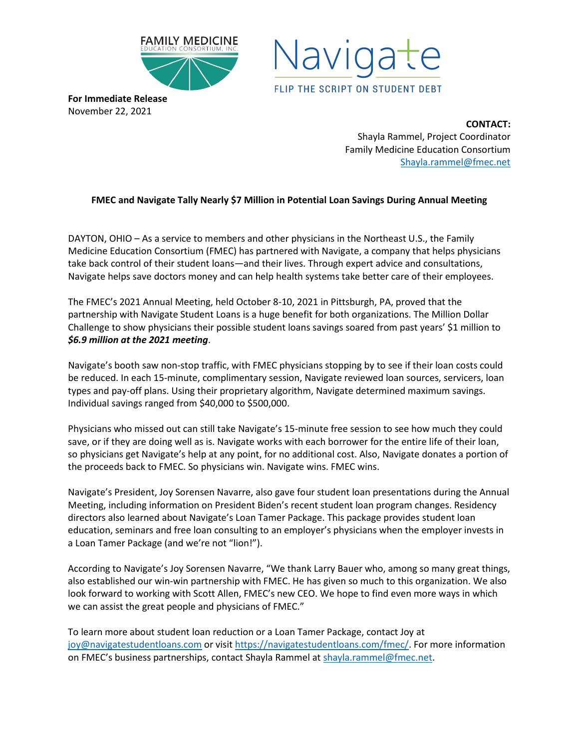



**For Immediate Release** November 22, 2021

> **CONTACT:** Shayla Rammel, Project Coordinator Family Medicine Education Consortium [Shayla.rammel@fmec.net](mailto:Shayla.rammel@fmec.net)

## **FMEC and Navigate Tally Nearly \$7 Million in Potential Loan Savings During Annual Meeting**

DAYTON, OHIO – As a service to members and other physicians in the Northeast U.S., the Family Medicine Education Consortium (FMEC) has partnered with Navigate, a company that helps physicians take back control of their student loans—and their lives. Through expert advice and consultations, Navigate helps save doctors money and can help health systems take better care of their employees.

The FMEC's 2021 Annual Meeting, held October 8-10, 2021 in Pittsburgh, PA, proved that the partnership with Navigate Student Loans is a huge benefit for both organizations. The Million Dollar Challenge to show physicians their possible student loans savings soared from past years' \$1 million to *\$6.9 million at the 2021 meeting*.

Navigate's booth saw non-stop traffic, with FMEC physicians stopping by to see if their loan costs could be reduced. In each 15-minute, complimentary session, Navigate reviewed loan sources, servicers, loan types and pay-off plans. Using their proprietary algorithm, Navigate determined maximum savings. Individual savings ranged from \$40,000 to \$500,000.

Physicians who missed out can still take Navigate's 15-minute free session to see how much they could save, or if they are doing well as is. Navigate works with each borrower for the entire life of their loan, so physicians get Navigate's help at any point, for no additional cost. Also, Navigate donates a portion of the proceeds back to FMEC. So physicians win. Navigate wins. FMEC wins.

Navigate's President, Joy Sorensen Navarre, also gave four student loan presentations during the Annual Meeting, including information on President Biden's recent student loan program changes. Residency directors also learned about Navigate's Loan Tamer Package. This package provides student loan education, seminars and free loan consulting to an employer's physicians when the employer invests in a Loan Tamer Package (and we're not "lion!").

According to Navigate's Joy Sorensen Navarre, "We thank Larry Bauer who, among so many great things, also established our win-win partnership with FMEC. He has given so much to this organization. We also look forward to working with Scott Allen, FMEC's new CEO. We hope to find even more ways in which we can assist the great people and physicians of FMEC."

To learn more about student loan reduction or a Loan Tamer Package, contact Joy at [joy@navigatestudentloans.com](mailto:joy@navigatestudentloans.com) or visit [https://navigatestudentloans.com/fmec/.](https://navigatestudentloans.com/fmec/) For more information on FMEC's business partnerships, contact Shayla Rammel a[t shayla.rammel@fmec.net.](mailto:shayla.rammel@fmec.net)